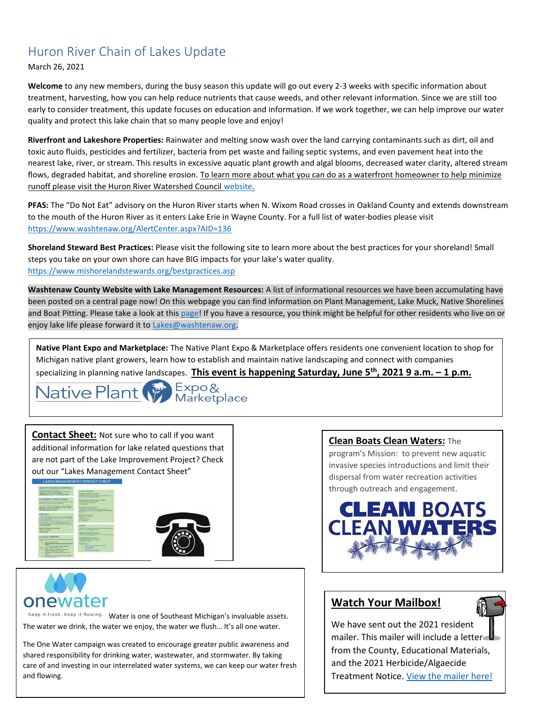## Huron River Chain of Lakes Update

March 26, 2021

**Welcome** to any new members, during the busy season this update will go out every 2-3 weeks with specific information about treatment, harvesting, how you can help reduce nutrients that cause weeds, and other relevant information. Since we are still too early to consider treatment, this update focuses on education and information. If we work together, we can help improve our water quality and protect this lake chain that so many people love and enjoy!

**Riverfront and Lakeshore Properties:** Rainwater and melting snow wash over the land carrying contaminants such as dirt, oil and toxic auto fluids, pesticides and fertilizer, bacteria from pet waste and failing septic systems, and even pavement heat into the nearest lake, river, or stream. This results in excessive aquatic plant growth and algal blooms, decreased water clarity, altered stream flows, degraded habitat, and shoreline erosion. To learn more about what you can do as a waterfront homeowner to help minimize runoff please visit the Huron River Watershed Council [website.](https://www.hrwc.org/take-action/at-home/riverfront-lakeshore-properties/)

**PFAS:** The "Do Not Eat" advisory on the Huron River starts when N. Wixom Road crosses in Oakland County and extends downstream to the mouth of the Huron River as it enters Lake Erie in Wayne County. For a full list of water-bodies please visit <https://www.washtenaw.org/AlertCenter.aspx?AID=136>

**Shoreland Steward Best Practices:** Please visit the following site to learn more about the best practices for your shoreland! Small steps you take on your own shore can have BIG impacts for your lake's water quality. [https://www.mishorelandstewards.org/bestpractices.asp](https://gcc01.safelinks.protection.outlook.com/?url=https%3A%2F%2Fwww.mishorelandstewards.org%2Fbestpractices.asp&data=02%7C01%7Ckoloskil%40washtenaw.org%7Cc1099d767abc47df4fd108d6ffc1b605%7C940f79927c85414e8cb10632dd3a5282%7C0%7C0%7C636977604786419415&sdata=y9VJuglOwLSYM%2F8PlrbVRfiz7aXv3RoGR2iMVcbKcuY%3D&reserved=0)

**Washtenaw County Website with Lake Management Resources:** A list of informational resources we have been accumulating have been posted on a central page now! On this webpage you can find information on Plant Management, Lake Muck, Native Shorelines and Boat Pitting. Please take a look at this [page!](https://www.washtenaw.org/3062/Lake-Management-Resources) If you have a resource, you think might be helpful for other residents who live on or enjoy lake life please forward it to [Lakes@washtenaw.org.](mailto:Lakes@washtenaw.org)

**Native Plant Expo and Marketplace:** The Native Plant Expo & Marketplace offers residents one convenient location to shop for Michigan native plant growers, learn how to establish and maintain native landscaping and connect with companies





**Contact Sheet:** Not sure who to call if you want additional information for lake related questions that are not part of the Lake Improvement Project? Check out our "Lakes Management Contact Sheet"







Keep it fresh. Keep it flowing. Water is one of Southeast Michigan's invaluable assets. The water we drink, the water we enjoy, the water we flush… It's all one water.

The One Water campaign was created to encourage greater public awareness and shared responsibility for drinking water, wastewater, and stormwater. By taking care of and investing in our interrelated water systems, we can keep our water fresh and flowing.

## **Clean Boats Clean Waters:** The

program's Mission: to prevent new aquatic invasive species introductions and limit their dispersal from water recreation activities through outreach and engagement.



## **Watch Your Mailbox!**

We have sent out the 2021 resident mailer. This mailer will include a letter from the County, Educational Materials, and the 2021 Herbicide/Algaecide Treatment Notice. [View the mailer here!](https://www.washtenaw.org/DocumentCenter/View/20023/Combined-2021-Spring-Mailer-COL---for-website?bidId=)